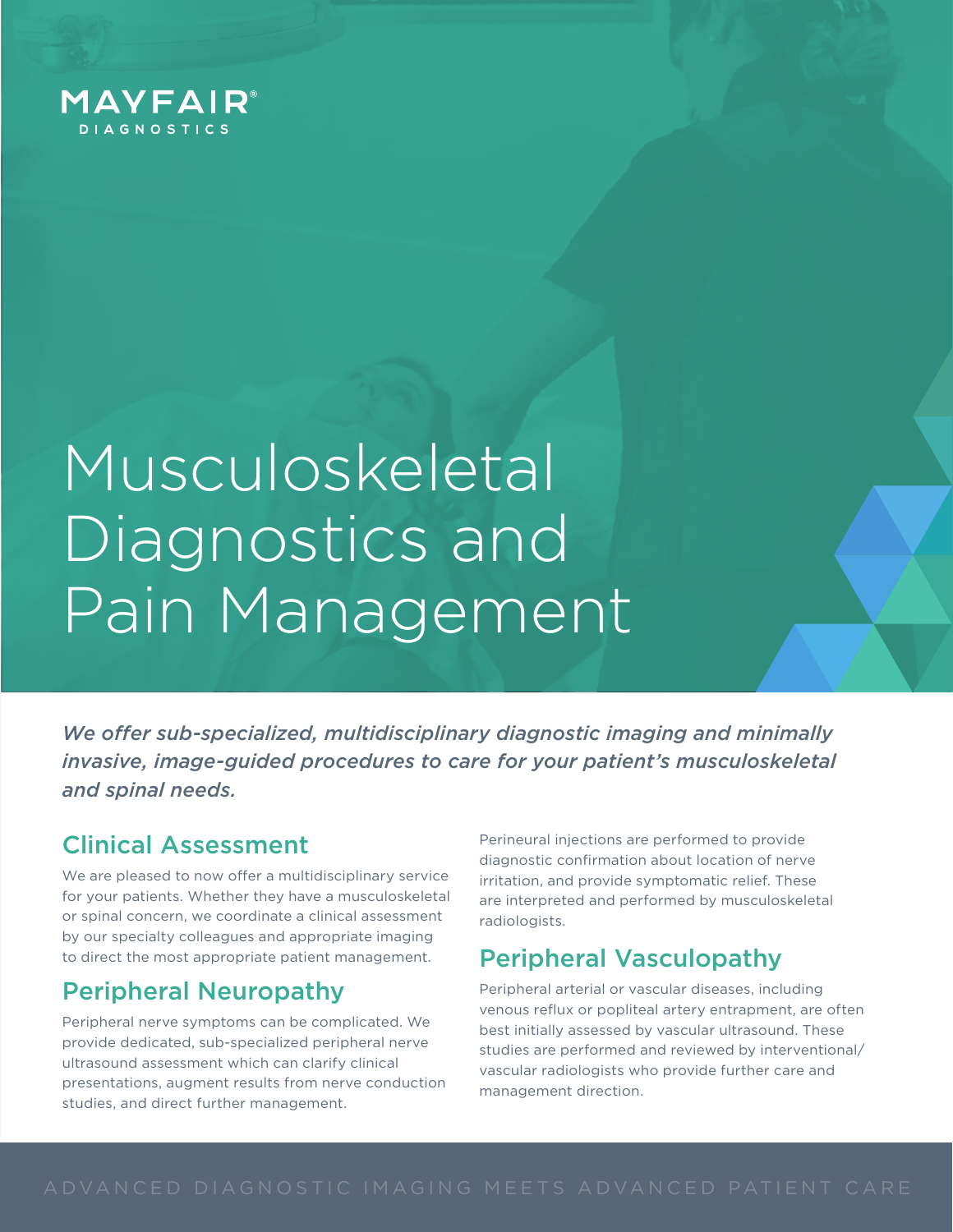

# Musculoskeletal Diagnostics and Pain Management

*We offer sub-specialized, multidisciplinary diagnostic imaging and minimally invasive, image-guided procedures to care for your patient's musculoskeletal and spinal needs.*

## Clinical Assessment

We are pleased to now offer a multidisciplinary service for your patients. Whether they have a musculoskeletal or spinal concern, we coordinate a clinical assessment by our specialty colleagues and appropriate imaging to direct the most appropriate patient management.

### Peripheral Neuropathy

Peripheral nerve symptoms can be complicated. We provide dedicated, sub-specialized peripheral nerve ultrasound assessment which can clarify clinical presentations, augment results from nerve conduction studies, and direct further management.

Perineural injections are performed to provide diagnostic confirmation about location of nerve irritation, and provide symptomatic relief. These are interpreted and performed by musculoskeletal radiologists.

## Peripheral Vasculopathy

Peripheral arterial or vascular diseases, including venous reflux or popliteal artery entrapment, are often best initially assessed by vascular ultrasound. These studies are performed and reviewed by interventional/ vascular radiologists who provide further care and management direction.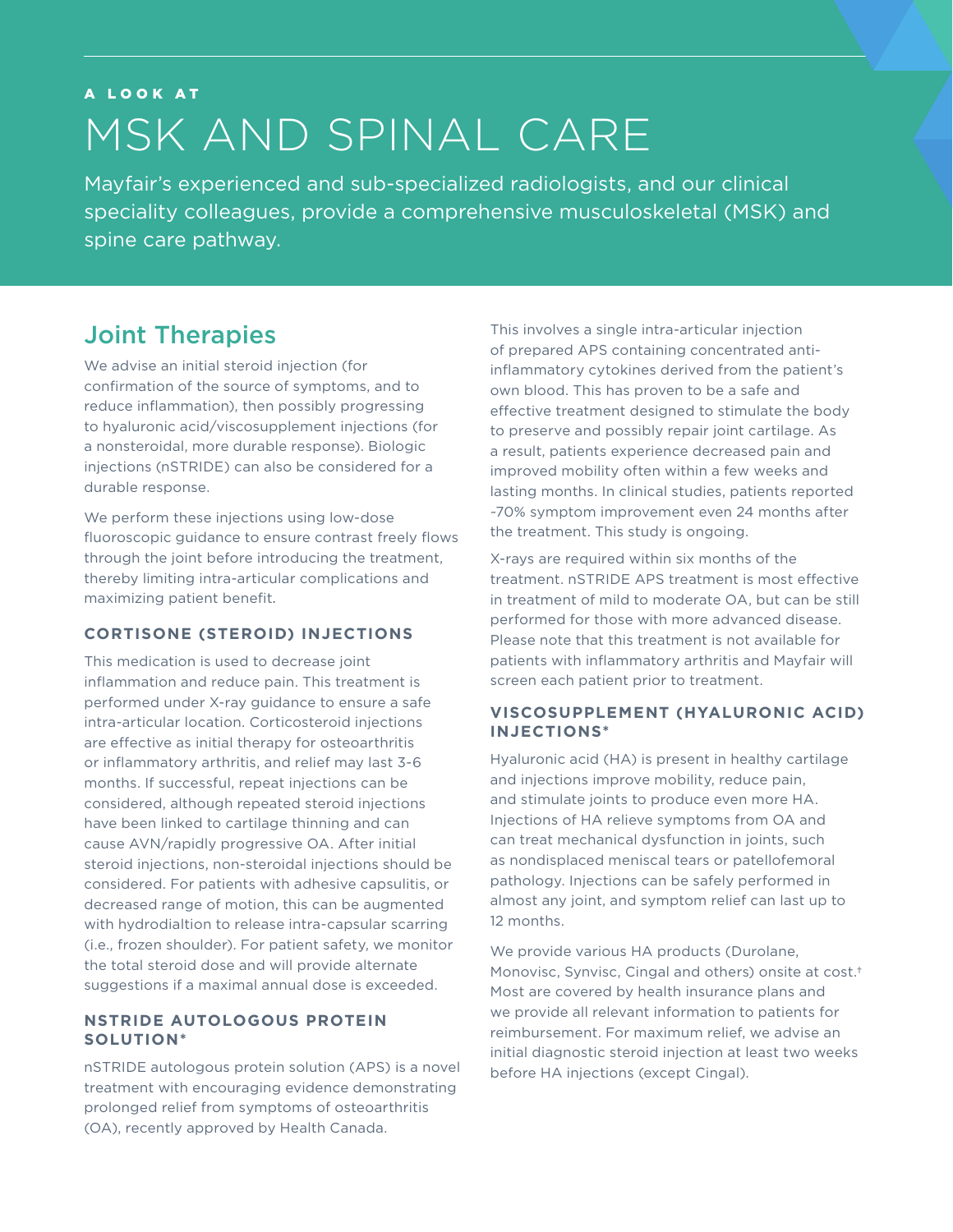## A LOOK AT MSK AND SPINAL CARE

Mayfair's experienced and sub-specialized radiologists, and our clinical speciality colleagues, provide a comprehensive musculoskeletal (MSK) and spine care pathway.

## Joint Therapies

We advise an initial steroid injection (for confirmation of the source of symptoms, and to reduce inflammation), then possibly progressing to hyaluronic acid/viscosupplement injections (for a nonsteroidal, more durable response). Biologic injections (nSTRIDE) can also be considered for a durable response.

We perform these injections using low-dose fluoroscopic quidance to ensure contrast freely flows through the joint before introducing the treatment thereby limiting intra-articular complications and maximizing patient benefit*.* 

#### **CORTISONE (STEROID) INJECTIONS**

This medication is used to decrease joint inflammation and reduce pain. This treatment is performed under X-ray guidance to ensure a safe intra-articular location. Corticosteroid injections are effective as initial therapy for osteoarthritis or inflammatory arthritis, and relief may last 3-6 months. If successful, repeat injections can be considered, although repeated steroid injections have been linked to cartilage thinning and can cause AVN/rapidly progressive OA. After initial steroid injections, non-steroidal injections should be considered. For patients with adhesive capsulitis, or decreased range of motion, this can be augmented with hydrodialtion to release intra-capsular scarring (i.e., frozen shoulder). For patient safety, we monitor the total steroid dose and will provide alternate suggestions if a maximal annual dose is exceeded.

#### **NSTRIDE AUTOLOGOUS PROTEIN SOLUTION\***

nSTRIDE autologous protein solution (APS) is a novel treatment with encouraging evidence demonstrating prolonged relief from symptoms of osteoarthritis (OA), recently approved by Health Canada.

This involves a single intra-articular injection of prepared APS containing concentrated antiinflammatory cytokines derived from the patient's own blood. This has proven to be a safe and effective treatment designed to stimulate the body to preserve and possibly repair joint cartilage. As a result, patients experience decreased pain and improved mobility often within a few weeks and lasting months. In clinical studies, patients reported ~70% symptom improvement even 24 months after the treatment. This study is ongoing.

X-rays are required within six months of the treatment. nSTRIDE APS treatment is most effective in treatment of mild to moderate OA, but can be still performed for those with more advanced disease. Please note that this treatment is not available for patients with inflammatory arthritis and Mayfair will screen each patient prior to treatment.

#### **VISCOSUPPLEMENT (HYALURONIC ACID) INJECTIONS\***

Hyaluronic acid (HA) is present in healthy cartilage and injections improve mobility, reduce pain, and stimulate joints to produce even more HA. Injections of HA relieve symptoms from OA and can treat mechanical dysfunction in joints, such as nondisplaced meniscal tears or patellofemoral pathology. Injections can be safely performed in almost any joint, and symptom relief can last up to 12 months.

We provide various HA products (Durolane, Monovisc, Synvisc, Cingal and others) onsite at cost.† Most are covered by health insurance plans and we provide all relevant information to patients for reimbursement. For maximum relief, we advise an initial diagnostic steroid injection at least two weeks before HA injections (except Cingal).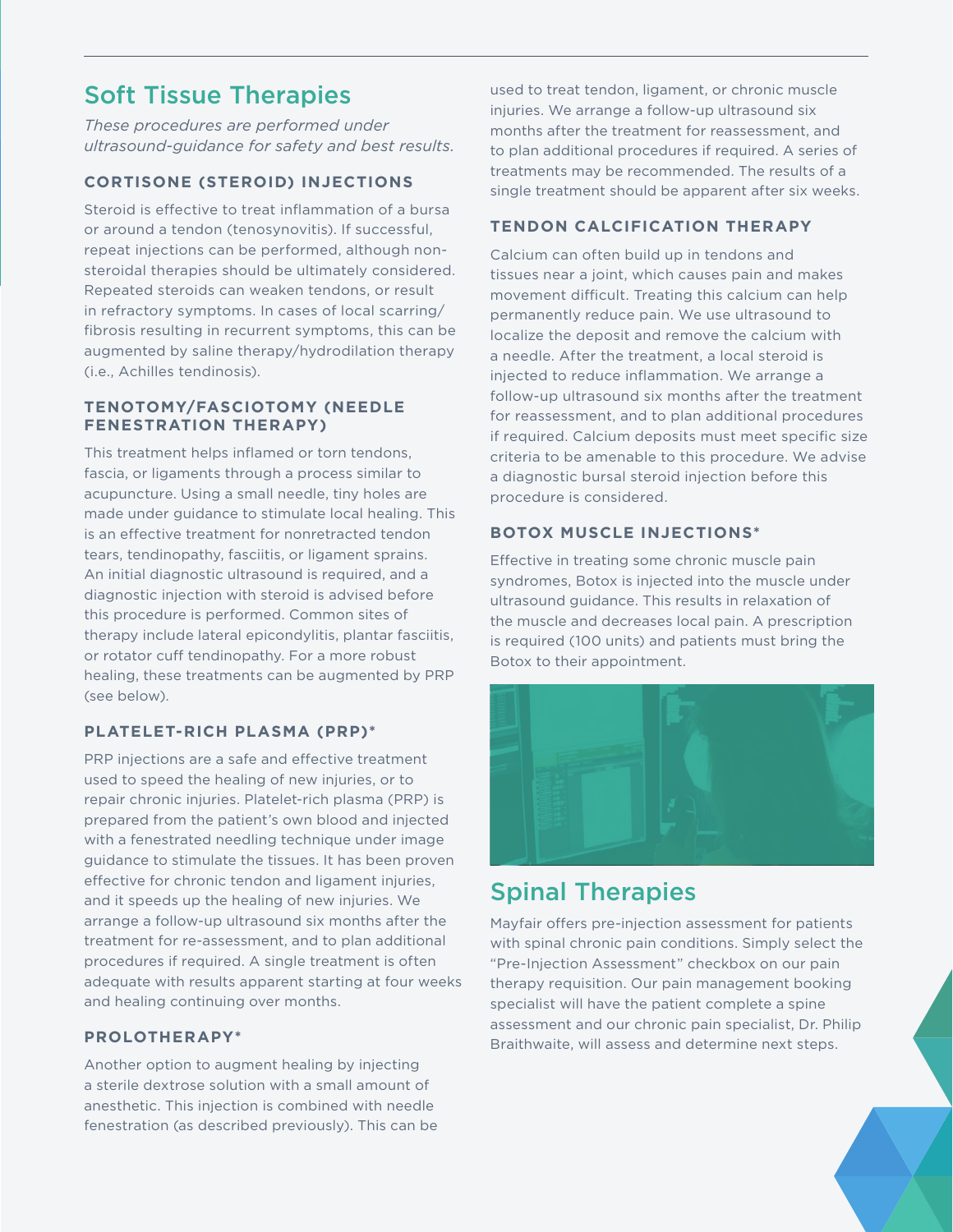## Soft Tissue Therapies

*These procedures are performed under ultrasound-guidance for safety and best results.* 

#### **CORTISONE (STEROID) INJECTIONS**

Steroid is effective to treat inflammation of a bursa or around a tendon (tenosynovitis). If successful, repeat injections can be performed, although nonsteroidal therapies should be ultimately considered. Repeated steroids can weaken tendons, or result in refractory symptoms. In cases of local scarring/ fibrosis resulting in recurrent symptoms, this can be augmented by saline therapy/hydrodilation therapy (i.e., Achilles tendinosis).

#### **TENOTOMY/FASCIOTOMY (NEEDLE FENESTRATION THERAPY)**

This treatment helps inflamed or torn tendons, fascia, or ligaments through a process similar to acupuncture. Using a small needle, tiny holes are made under guidance to stimulate local healing. This is an effective treatment for nonretracted tendon tears, tendinopathy, fasciitis, or ligament sprains. An initial diagnostic ultrasound is required, and a diagnostic injection with steroid is advised before this procedure is performed. Common sites of therapy include lateral epicondylitis, plantar fasciitis, or rotator cuff tendinopathy. For a more robust healing, these treatments can be augmented by PRP (see below).

#### **PLATELET-RICH PLASMA (PRP)\***

PRP injections are a safe and effective treatment used to speed the healing of new injuries, or to repair chronic injuries. Platelet-rich plasma (PRP) is prepared from the patient's own blood and injected with a fenestrated needling technique under image guidance to stimulate the tissues. It has been proven effective for chronic tendon and ligament injuries, and it speeds up the healing of new injuries. We arrange a follow-up ultrasound six months after the treatment for re-assessment, and to plan additional procedures if required. A single treatment is often adequate with results apparent starting at four weeks and healing continuing over months.

#### **PROLOTHERAPY\***

Another option to augment healing by injecting a sterile dextrose solution with a small amount of anesthetic. This injection is combined with needle fenestration (as described previously). This can be used to treat tendon, ligament, or chronic muscle injuries. We arrange a follow-up ultrasound six months after the treatment for reassessment, and to plan additional procedures if required. A series of treatments may be recommended. The results of a single treatment should be apparent after six weeks.

#### **TENDON CALCIFICATION THERAPY**

Calcium can often build up in tendons and tissues near a joint, which causes pain and makes movement difficult. Treating this calcium can help permanently reduce pain. We use ultrasound to localize the deposit and remove the calcium with a needle. After the treatment, a local steroid is injected to reduce inflammation. We arrange a follow-up ultrasound six months after the treatment for reassessment, and to plan additional procedures if required. Calcium deposits must meet specific size criteria to be amenable to this procedure. We advise a diagnostic bursal steroid injection before this procedure is considered.

#### **BOTOX MUSCLE INJECTIONS\***

Effective in treating some chronic muscle pain syndromes, Botox is injected into the muscle under ultrasound guidance. This results in relaxation of the muscle and decreases local pain. A prescription is required (100 units) and patients must bring the Botox to their appointment.



## Spinal Therapies

Mayfair offers pre-injection assessment for patients with spinal chronic pain conditions. Simply select the "Pre-Injection Assessment" checkbox on our pain therapy requisition. Our pain management booking specialist will have the patient complete a spine assessment and our chronic pain specialist, Dr. Philip Braithwaite, will assess and determine next steps.